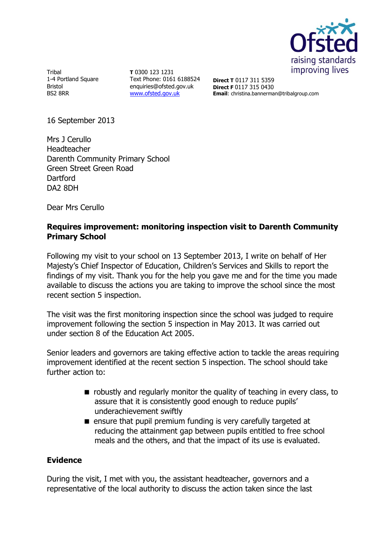

Tribal 1-4 Portland Square Bristol BS2 8RR

**T** 0300 123 1231 Text Phone: 0161 6188524 enquiries@ofsted.gov.uk [www.ofsted.gov.uk](http://www.ofsted.gov.uk/)

**Direct T** 0117 311 5359 **Direct F** 0117 315 0430 **Email**: christina.bannerman@tribalgroup.com

16 September 2013

Mrs J Cerullo Headteacher Darenth Community Primary School Green Street Green Road **Dartford** DA2 8DH

Dear Mrs Cerullo

# **Requires improvement: monitoring inspection visit to Darenth Community Primary School**

Following my visit to your school on 13 September 2013, I write on behalf of Her Majesty's Chief Inspector of Education, Children's Services and Skills to report the findings of my visit. Thank you for the help you gave me and for the time you made available to discuss the actions you are taking to improve the school since the most recent section 5 inspection.

The visit was the first monitoring inspection since the school was judged to require improvement following the section 5 inspection in May 2013. It was carried out under section 8 of the Education Act 2005.

Senior leaders and governors are taking effective action to tackle the areas requiring improvement identified at the recent section 5 inspection. The school should take further action to:

- $\blacksquare$  robustly and regularly monitor the quality of teaching in every class, to assure that it is consistently good enough to reduce pupils' underachievement swiftly
- **E** ensure that pupil premium funding is very carefully targeted at reducing the attainment gap between pupils entitled to free school meals and the others, and that the impact of its use is evaluated.

## **Evidence**

During the visit, I met with you, the assistant headteacher, governors and a representative of the local authority to discuss the action taken since the last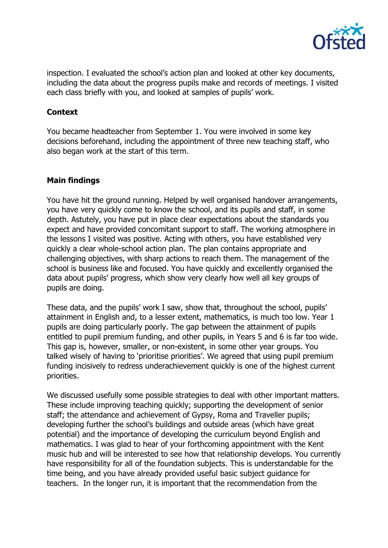

inspection. I evaluated the school's action plan and looked at other key documents, including the data about the progress pupils make and records of meetings. I visited each class briefly with you, and looked at samples of pupils' work.

## **Context**

You became headteacher from September 1. You were involved in some key decisions beforehand, including the appointment of three new teaching staff, who also began work at the start of this term.

## **Main findings**

You have hit the ground running. Helped by well organised handover arrangements, you have very quickly come to know the school, and its pupils and staff, in some depth. Astutely, you have put in place clear expectations about the standards you expect and have provided concomitant support to staff. The working atmosphere in the lessons I visited was positive. Acting with others, you have established very quickly a clear whole-school action plan. The plan contains appropriate and challenging objectives, with sharp actions to reach them. The management of the school is business like and focused. You have quickly and excellently organised the data about pupils' progress, which show very clearly how well all key groups of pupils are doing.

These data, and the pupils' work I saw, show that, throughout the school, pupils' attainment in English and, to a lesser extent, mathematics, is much too low. Year 1 pupils are doing particularly poorly. The gap between the attainment of pupils entitled to pupil premium funding, and other pupils, in Years 5 and 6 is far too wide. This gap is, however, smaller, or non-existent, in some other year groups. You talked wisely of having to 'prioritise priorities'. We agreed that using pupil premium funding incisively to redress underachievement quickly is one of the highest current priorities.

We discussed usefully some possible strategies to deal with other important matters. These include improving teaching quickly; supporting the development of senior staff; the attendance and achievement of Gypsy, Roma and Traveller pupils; developing further the school's buildings and outside areas (which have great potential) and the importance of developing the curriculum beyond English and mathematics. I was glad to hear of your forthcoming appointment with the Kent music hub and will be interested to see how that relationship develops. You currently have responsibility for all of the foundation subjects. This is understandable for the time being, and you have already provided useful basic subject guidance for teachers. In the longer run, it is important that the recommendation from the